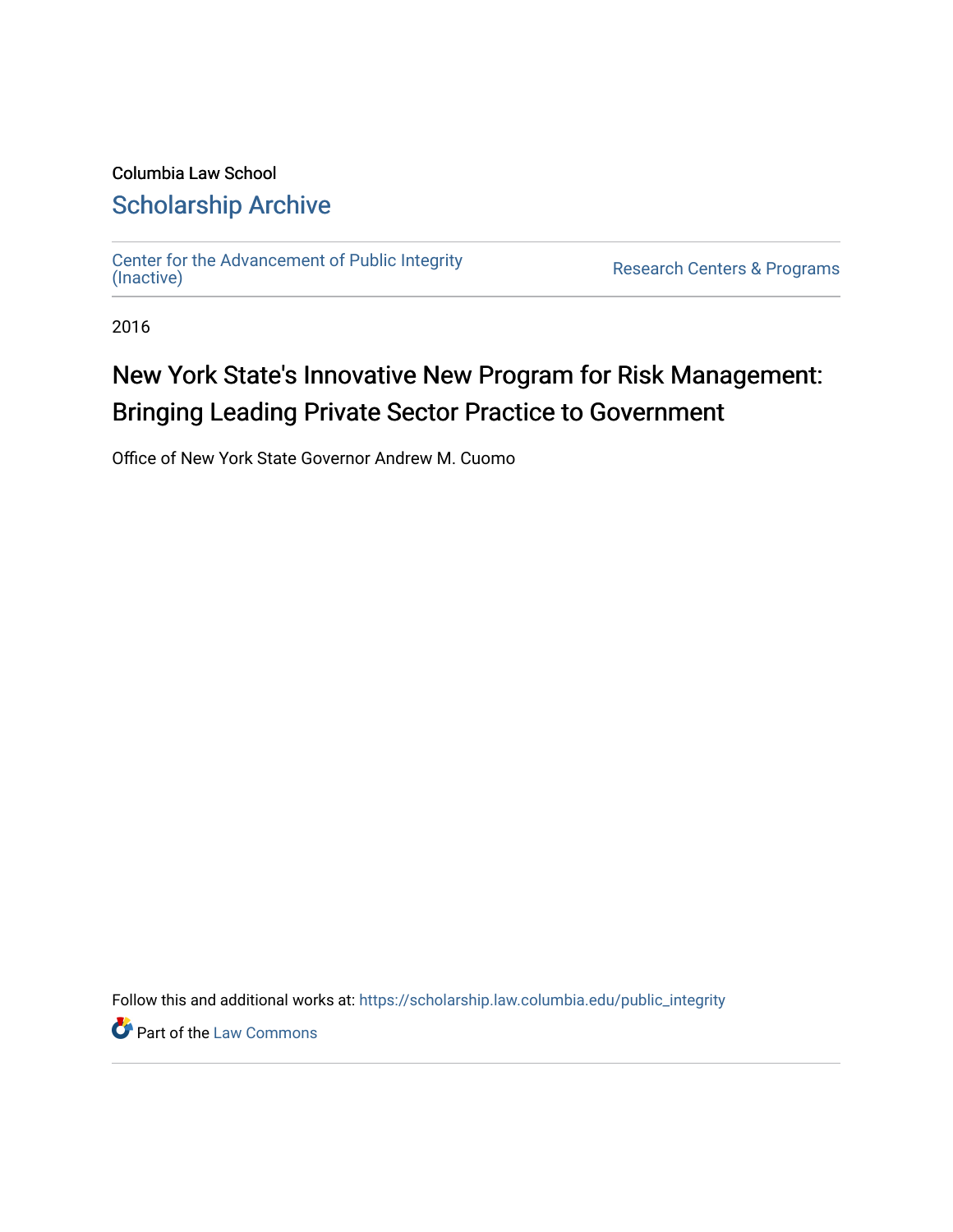# Columbia Law School [Scholarship Archive](https://scholarship.law.columbia.edu/)

[Center for the Advancement of Public Integrity](https://scholarship.law.columbia.edu/public_integrity)<br>(Inactive)

Research Centers & Programs

2016

# New York State's Innovative New Program for Risk Management: Bringing Leading Private Sector Practice to Government

Office of New York State Governor Andrew M. Cuomo

Follow this and additional works at: [https://scholarship.law.columbia.edu/public\\_integrity](https://scholarship.law.columbia.edu/public_integrity?utm_source=scholarship.law.columbia.edu%2Fpublic_integrity%2F68&utm_medium=PDF&utm_campaign=PDFCoverPages)

**Part of the [Law Commons](http://network.bepress.com/hgg/discipline/578?utm_source=scholarship.law.columbia.edu%2Fpublic_integrity%2F68&utm_medium=PDF&utm_campaign=PDFCoverPages)**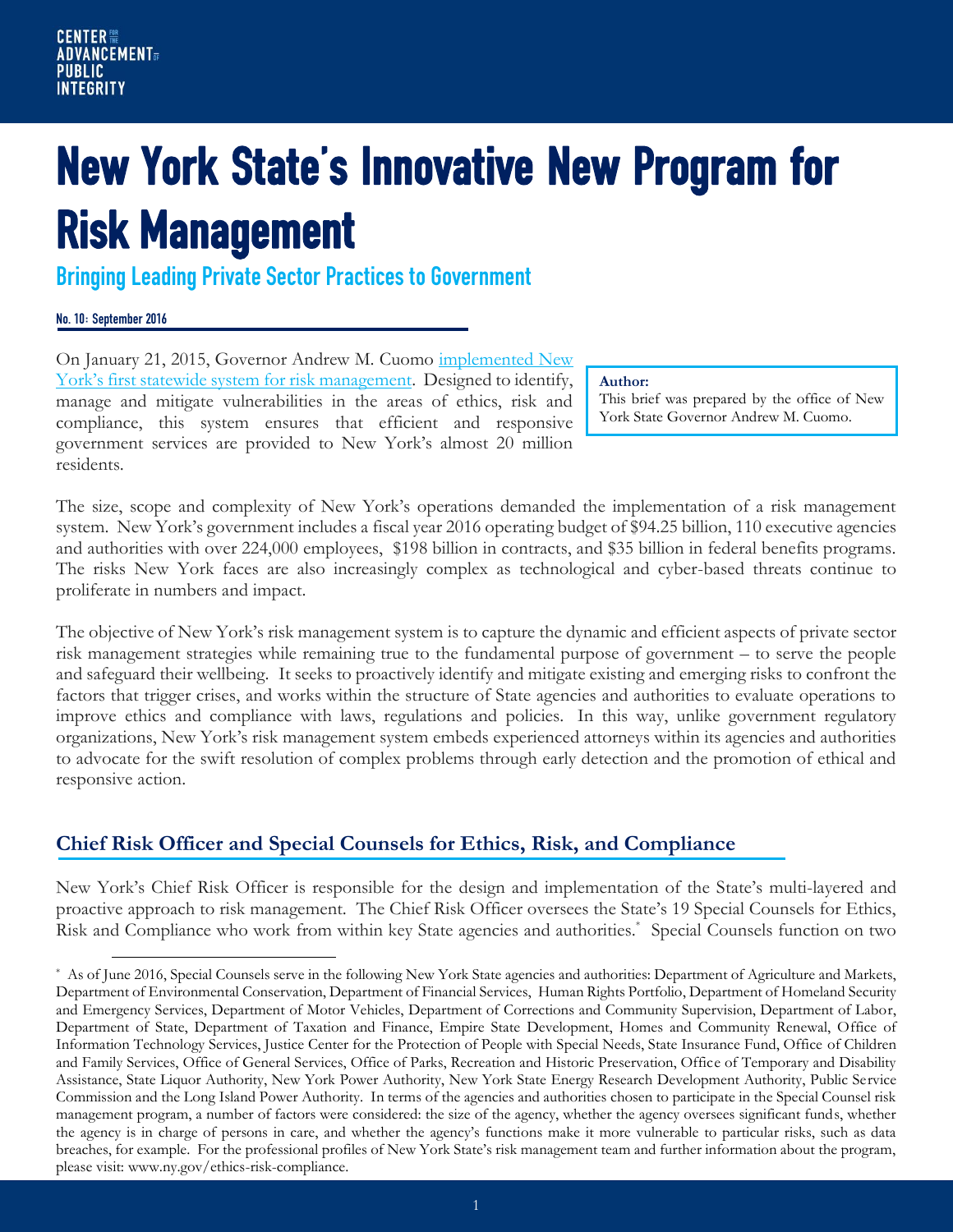# New York State's Innovative New Program for Risk Management

Bringing Leading Private Sector Practices to Government

#### No. 10: September 2016

 $\overline{a}$ 

On January 21, 2015, Governor Andrew M. Cuomo [implemented New](http://www.ny.gov/ethics-risk-compliance)  [York's first statewide system for risk management](http://www.ny.gov/ethics-risk-compliance). Designed to identify, manage and mitigate vulnerabilities in the areas of ethics, risk and compliance, this system ensures that efficient and responsive government services are provided to New York's almost 20 million residents.

#### **Author:**

This brief was prepared by the office of New York State Governor Andrew M. Cuomo.

The size, scope and complexity of New York's operations demanded the implementation of a risk management system. New York's government includes a fiscal year 2016 operating budget of \$94.25 billion, 110 executive agencies and authorities with over 224,000 employees, \$198 billion in contracts, and \$35 billion in federal benefits programs. The risks New York faces are also increasingly complex as technological and cyber-based threats continue to proliferate in numbers and impact.

The objective of New York's risk management system is to capture the dynamic and efficient aspects of private sector risk management strategies while remaining true to the fundamental purpose of government – to serve the people and safeguard their wellbeing. It seeks to proactively identify and mitigate existing and emerging risks to confront the factors that trigger crises, and works within the structure of State agencies and authorities to evaluate operations to improve ethics and compliance with laws, regulations and policies. In this way, unlike government regulatory organizations, New York's risk management system embeds experienced attorneys within its agencies and authorities to advocate for the swift resolution of complex problems through early detection and the promotion of ethical and responsive action.

# **Chief Risk Officer and Special Counsels for Ethics, Risk, and Compliance**

New York's Chief Risk Officer is responsible for the design and implementation of the State's multi-layered and proactive approach to risk management. The Chief Risk Officer oversees the State's 19 Special Counsels for Ethics, Risk and Compliance who work from within key State agencies and authorities.\* Special Counsels function on two

<sup>\*</sup> As of June 2016, Special Counsels serve in the following New York State agencies and authorities: Department of Agriculture and Markets, Department of Environmental Conservation, Department of Financial Services, Human Rights Portfolio, Department of Homeland Security and Emergency Services, Department of Motor Vehicles, Department of Corrections and Community Supervision, Department of Labor, Department of State, Department of Taxation and Finance, Empire State Development, Homes and Community Renewal, Office of Information Technology Services, Justice Center for the Protection of People with Special Needs, State Insurance Fund, Office of Children and Family Services, Office of General Services, Office of Parks, Recreation and Historic Preservation, Office of Temporary and Disability Assistance, State Liquor Authority, New York Power Authority, New York State Energy Research Development Authority, Public Service Commission and the Long Island Power Authority. In terms of the agencies and authorities chosen to participate in the Special Counsel risk management program, a number of factors were considered: the size of the agency, whether the agency oversees significant funds, whether the agency is in charge of persons in care, and whether the agency's functions make it more vulnerable to particular risks, such as data breaches, for example. For the professional profiles of New York State's risk management team and further information about the program, please visit: www.ny.gov/ethics-risk-compliance.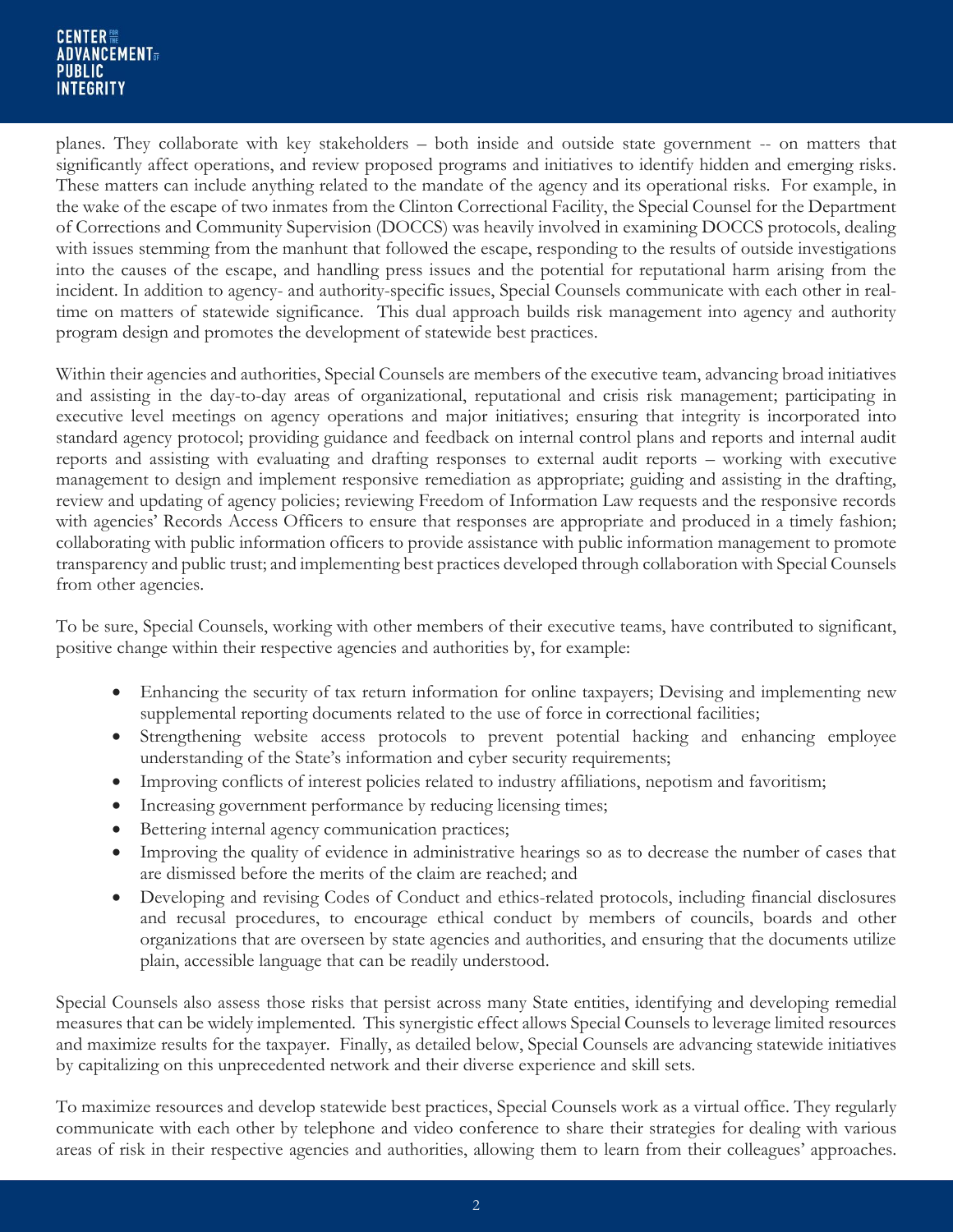planes. They collaborate with key stakeholders – both inside and outside state government -- on matters that significantly affect operations, and review proposed programs and initiatives to identify hidden and emerging risks. These matters can include anything related to the mandate of the agency and its operational risks. For example, in the wake of the escape of two inmates from the Clinton Correctional Facility, the Special Counsel for the Department of Corrections and Community Supervision (DOCCS) was heavily involved in examining DOCCS protocols, dealing with issues stemming from the manhunt that followed the escape, responding to the results of outside investigations into the causes of the escape, and handling press issues and the potential for reputational harm arising from the incident. In addition to agency- and authority-specific issues, Special Counsels communicate with each other in realtime on matters of statewide significance. This dual approach builds risk management into agency and authority program design and promotes the development of statewide best practices.

Within their agencies and authorities, Special Counsels are members of the executive team, advancing broad initiatives and assisting in the day-to-day areas of organizational, reputational and crisis risk management; participating in executive level meetings on agency operations and major initiatives; ensuring that integrity is incorporated into standard agency protocol; providing guidance and feedback on internal control plans and reports and internal audit reports and assisting with evaluating and drafting responses to external audit reports – working with executive management to design and implement responsive remediation as appropriate; guiding and assisting in the drafting, review and updating of agency policies; reviewing Freedom of Information Law requests and the responsive records with agencies' Records Access Officers to ensure that responses are appropriate and produced in a timely fashion; collaborating with public information officers to provide assistance with public information management to promote transparency and public trust; and implementing best practices developed through collaboration with Special Counsels from other agencies.

To be sure, Special Counsels, working with other members of their executive teams, have contributed to significant, positive change within their respective agencies and authorities by, for example:

- Enhancing the security of tax return information for online taxpayers; Devising and implementing new supplemental reporting documents related to the use of force in correctional facilities;
- Strengthening website access protocols to prevent potential hacking and enhancing employee understanding of the State's information and cyber security requirements;
- Improving conflicts of interest policies related to industry affiliations, nepotism and favoritism;
- Increasing government performance by reducing licensing times;
- Bettering internal agency communication practices;
- Improving the quality of evidence in administrative hearings so as to decrease the number of cases that are dismissed before the merits of the claim are reached; and
- Developing and revising Codes of Conduct and ethics-related protocols, including financial disclosures and recusal procedures, to encourage ethical conduct by members of councils, boards and other organizations that are overseen by state agencies and authorities, and ensuring that the documents utilize plain, accessible language that can be readily understood.

Special Counsels also assess those risks that persist across many State entities, identifying and developing remedial measures that can be widely implemented. This synergistic effect allows Special Counsels to leverage limited resources and maximize results for the taxpayer. Finally, as detailed below, Special Counsels are advancing statewide initiatives by capitalizing on this unprecedented network and their diverse experience and skill sets.

To maximize resources and develop statewide best practices, Special Counsels work as a virtual office. They regularly communicate with each other by telephone and video conference to share their strategies for dealing with various areas of risk in their respective agencies and authorities, allowing them to learn from their colleagues' approaches.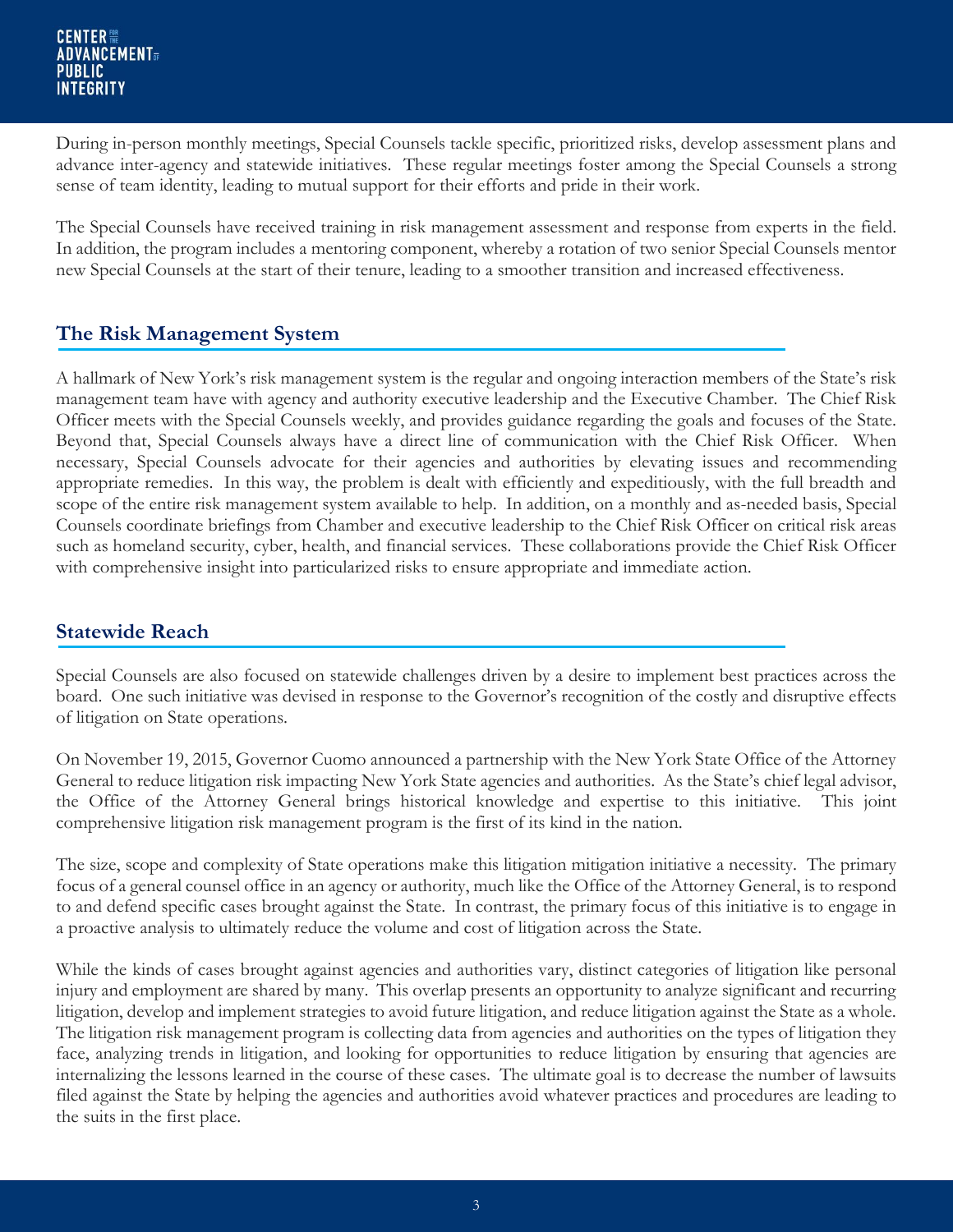During in-person monthly meetings, Special Counsels tackle specific, prioritized risks, develop assessment plans and advance inter-agency and statewide initiatives. These regular meetings foster among the Special Counsels a strong sense of team identity, leading to mutual support for their efforts and pride in their work.

The Special Counsels have received training in risk management assessment and response from experts in the field. In addition, the program includes a mentoring component, whereby a rotation of two senior Special Counsels mentor new Special Counsels at the start of their tenure, leading to a smoother transition and increased effectiveness.

### **The Risk Management System**

A hallmark of New York's risk management system is the regular and ongoing interaction members of the State's risk management team have with agency and authority executive leadership and the Executive Chamber. The Chief Risk Officer meets with the Special Counsels weekly, and provides guidance regarding the goals and focuses of the State. Beyond that, Special Counsels always have a direct line of communication with the Chief Risk Officer. When necessary, Special Counsels advocate for their agencies and authorities by elevating issues and recommending appropriate remedies. In this way, the problem is dealt with efficiently and expeditiously, with the full breadth and scope of the entire risk management system available to help. In addition, on a monthly and as-needed basis, Special Counsels coordinate briefings from Chamber and executive leadership to the Chief Risk Officer on critical risk areas such as homeland security, cyber, health, and financial services. These collaborations provide the Chief Risk Officer with comprehensive insight into particularized risks to ensure appropriate and immediate action.

# **Statewide Reach**

Special Counsels are also focused on statewide challenges driven by a desire to implement best practices across the board. One such initiative was devised in response to the Governor's recognition of the costly and disruptive effects of litigation on State operations.

On November 19, 2015, Governor Cuomo announced a partnership with the New York State Office of the Attorney General to reduce litigation risk impacting New York State agencies and authorities. As the State's chief legal advisor, the Office of the Attorney General brings historical knowledge and expertise to this initiative. This joint comprehensive litigation risk management program is the first of its kind in the nation.

The size, scope and complexity of State operations make this litigation mitigation initiative a necessity. The primary focus of a general counsel office in an agency or authority, much like the Office of the Attorney General, is to respond to and defend specific cases brought against the State. In contrast, the primary focus of this initiative is to engage in a proactive analysis to ultimately reduce the volume and cost of litigation across the State.

While the kinds of cases brought against agencies and authorities vary, distinct categories of litigation like personal injury and employment are shared by many. This overlap presents an opportunity to analyze significant and recurring litigation, develop and implement strategies to avoid future litigation, and reduce litigation against the State as a whole. The litigation risk management program is collecting data from agencies and authorities on the types of litigation they face, analyzing trends in litigation, and looking for opportunities to reduce litigation by ensuring that agencies are internalizing the lessons learned in the course of these cases. The ultimate goal is to decrease the number of lawsuits filed against the State by helping the agencies and authorities avoid whatever practices and procedures are leading to the suits in the first place.